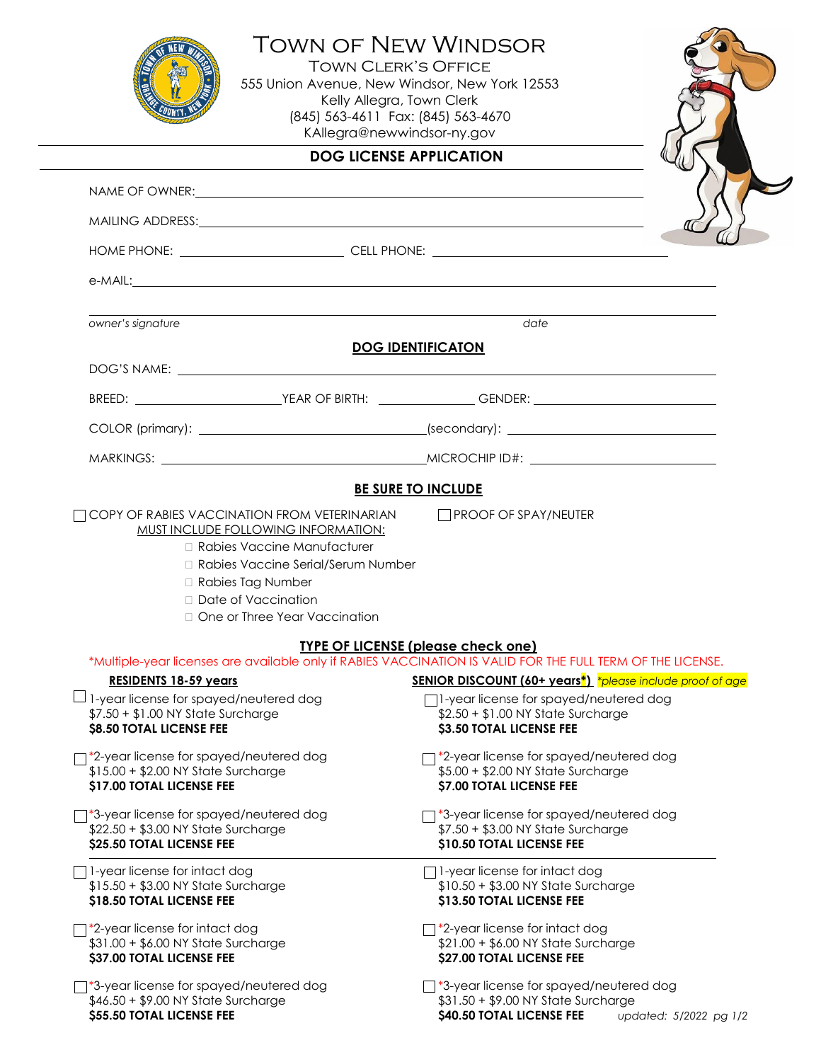|                                                                                                                                                                                                                                | <b>TOWN OF NEW WINDSOR</b><br><b>TOWN CLERK'S OFFICE</b><br>555 Union Avenue, New Windsor, New York 12553<br>Kelly Allegra, Town Clerk<br>(845) 563-4611 Fax: (845) 563-4670<br>KAllegra@newwindsor-ny.gov |
|--------------------------------------------------------------------------------------------------------------------------------------------------------------------------------------------------------------------------------|------------------------------------------------------------------------------------------------------------------------------------------------------------------------------------------------------------|
| <b>DOG LICENSE APPLICATION</b>                                                                                                                                                                                                 |                                                                                                                                                                                                            |
| NAME OF OWNER: WE ARRIVE TO A MARKET A STATE OF THE STATE OF THE STATE OF THE STATE OF THE STATE OF THE STATE OF THE STATE OF THE STATE OF THE STATE OF THE STATE OF THE STATE OF THE STATE OF THE STATE OF THE STATE OF THE S |                                                                                                                                                                                                            |
| MAILING ADDRESS: NATIONAL AND THE SERVICE OF A SERVICE OF A SERVICE OF A SERVICE OF A SERVICE OF A SERVICE OF A SERVICE OF A SERVICE OF A SERVICE OF A SERVICE OF A SERVICE OF A SERVICE OF A SERVICE OF A SERVICE OF A SERVIC |                                                                                                                                                                                                            |
|                                                                                                                                                                                                                                |                                                                                                                                                                                                            |
|                                                                                                                                                                                                                                |                                                                                                                                                                                                            |
| owner's signature                                                                                                                                                                                                              | date                                                                                                                                                                                                       |
| <b>DOG IDENTIFICATON</b>                                                                                                                                                                                                       |                                                                                                                                                                                                            |
|                                                                                                                                                                                                                                |                                                                                                                                                                                                            |
|                                                                                                                                                                                                                                | BREED: _______________________________YEAR OF BIRTH: ____________________________<br>GENDER: ____________________________YEAR OF BIRTH: _____________________________                                      |
|                                                                                                                                                                                                                                |                                                                                                                                                                                                            |
|                                                                                                                                                                                                                                |                                                                                                                                                                                                            |
| <b>MUST INCLUDE FOLLOWING INFORMATION:</b><br>□ Rabies Vaccine Manufacturer<br>□ Rabies Vaccine Serial/Serum Number<br>□ Rabies Tag Number<br>□ Date of Vaccination<br>□ One or Three Year Vaccination                         |                                                                                                                                                                                                            |
| <b>TYPE OF LICENSE (please check one)</b>                                                                                                                                                                                      |                                                                                                                                                                                                            |
| <b>RESIDENTS 18-59 years</b>                                                                                                                                                                                                   | *Multiple-year licenses are available only if RABIES VACCINATION IS VALID FOR THE FULL TERM OF THE LICENSE.<br><b>SENIOR DISCOUNT (60+ years*)</b> *please include proof of age                            |
| $\Box$ 1-year license for spayed/neutered dog<br>\$7.50 + \$1.00 NY State Surcharge<br><b>\$8.50 TOTAL LICENSE FEE</b>                                                                                                         | $\Box$ 1-year license for spayed/neutered dog<br>\$2.50 + \$1.00 NY State Surcharge<br>\$3.50 TOTAL LICENSE FEE                                                                                            |
| *2-year license for spayed/neutered dog<br>\$15.00 + \$2.00 NY State Surcharge<br><b>\$17.00 TOTAL LICENSE FEE</b>                                                                                                             | 7*2-year license for spayed/neutered dog<br>\$5.00 + \$2.00 NY State Surcharge<br>\$7.00 TOTAL LICENSE FEE                                                                                                 |
| *3-year license for spayed/neutered dog<br>\$22.50 + \$3.00 NY State Surcharge<br>\$25.50 TOTAL LICENSE FEE                                                                                                                    | *3-year license for spayed/neutered dog<br>\$7.50 + \$3.00 NY State Surcharge<br>\$10.50 TOTAL LICENSE FEE                                                                                                 |
| 1-year license for intact dog<br>\$15.50 + \$3.00 NY State Surcharge<br>\$18.50 TOTAL LICENSE FEE                                                                                                                              | $\Box$ 1-year license for intact dog<br>\$10.50 + \$3.00 NY State Surcharge<br>\$13.50 TOTAL LICENSE FEE                                                                                                   |
| $\top$ *2-year license for intact dog<br>\$31.00 + \$6.00 NY State Surcharge<br>\$37.00 TOTAL LICENSE FEE                                                                                                                      | $\uparrow$ *2-year license for intact dog<br>\$21.00 + \$6.00 NY State Surcharge<br>\$27.00 TOTAL LICENSE FEE                                                                                              |
| $\exists$ *3-year license for spayed/neutered dog<br>\$46.50 + \$9.00 NY State Surcharge<br>\$55.50 TOTAL LICENSE FEE                                                                                                          | $\Box$ *3-year license for spayed/neutered dog<br>\$31.50 + \$9.00 NY State Surcharge<br>\$40.50 TOTAL LICENSE FEE<br>updated: 5/2022 pg 1/2                                                               |